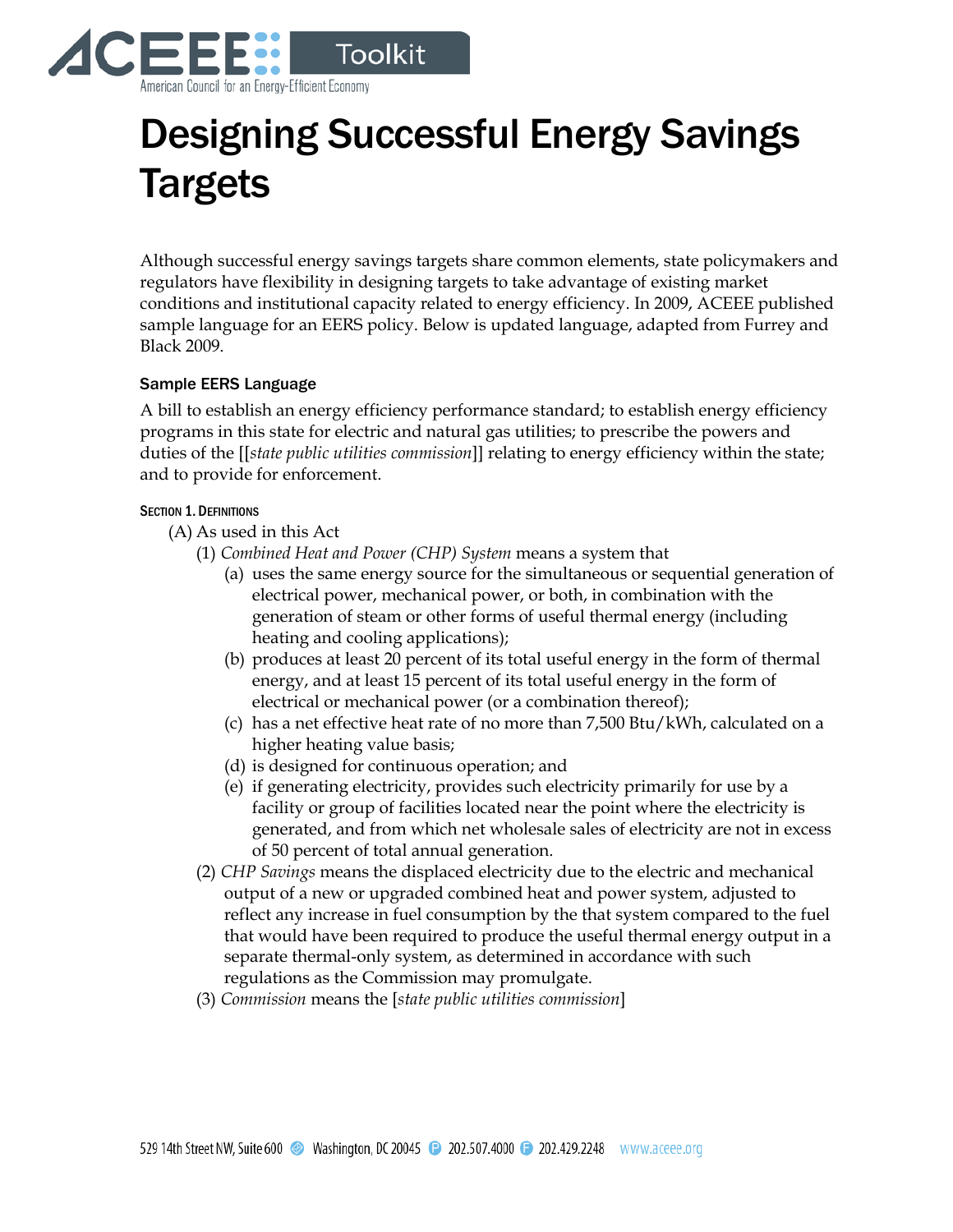

# Designing Successful Energy Savings **Targets**

Although successful energy savings targets share common elements, state policymakers and regulators have flexibility in designing targets to take advantage of existing market conditions and institutional capacity related to energy efficiency. In 2009, ACEEE published sample language for an EERS policy. Below is updated language, adapted from Furrey and Black 2009.

#### Sample EERS Language

A bill to establish an energy efficiency performance standard; to establish energy efficiency programs in this state for electric and natural gas utilities; to prescribe the powers and duties of the [[*state public utilities commission*]] relating to energy efficiency within the state; and to provide for enforcement.

#### SECTION 1. DEFINITIONS

- (A) As used in this Act
	- (1) *Combined Heat and Power (CHP) System* means a system that
		- (a) uses the same energy source for the simultaneous or sequential generation of electrical power, mechanical power, or both, in combination with the generation of steam or other forms of useful thermal energy (including heating and cooling applications);
		- (b) produces at least 20 percent of its total useful energy in the form of thermal energy, and at least 15 percent of its total useful energy in the form of electrical or mechanical power (or a combination thereof);
		- (c) has a net effective heat rate of no more than 7,500 Btu/kWh, calculated on a higher heating value basis;
		- (d) is designed for continuous operation; and
		- (e) if generating electricity, provides such electricity primarily for use by a facility or group of facilities located near the point where the electricity is generated, and from which net wholesale sales of electricity are not in excess of 50 percent of total annual generation.
	- (2) *CHP Savings* means the displaced electricity due to the electric and mechanical output of a new or upgraded combined heat and power system, adjusted to reflect any increase in fuel consumption by the that system compared to the fuel that would have been required to produce the useful thermal energy output in a separate thermal-only system, as determined in accordance with such regulations as the Commission may promulgate.
	- (3) *Commission* means the [*state public utilities commission*]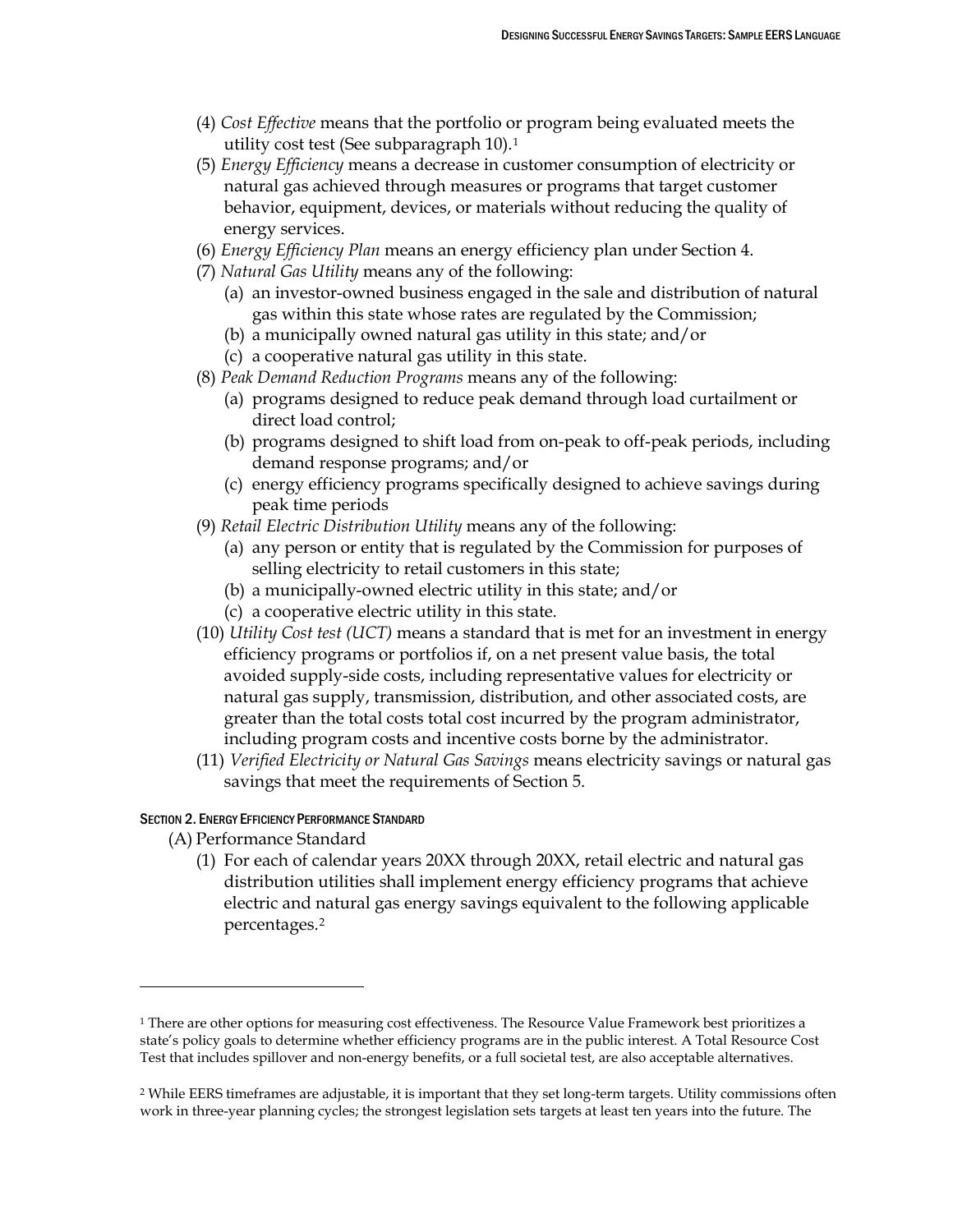- (4) *Cost Effective* means that the portfolio or program being evaluated meets the utility cost test (See subparagraph 10).[1](#page-1-0)
- (5) *Energy Efficiency* means a decrease in customer consumption of electricity or natural gas achieved through measures or programs that target customer behavior, equipment, devices, or materials without reducing the quality of energy services.
- (6) *Energy Efficiency Plan* means an energy efficiency plan under Section 4.
- (7) *Natural Gas Utility* means any of the following:
	- (a) an investor-owned business engaged in the sale and distribution of natural gas within this state whose rates are regulated by the Commission;
	- (b) a municipally owned natural gas utility in this state; and/or
	- (c) a cooperative natural gas utility in this state.
- (8) *Peak Demand Reduction Programs* means any of the following:
	- (a) programs designed to reduce peak demand through load curtailment or direct load control;
	- (b) programs designed to shift load from on-peak to off-peak periods, including demand response programs; and/or
	- (c) energy efficiency programs specifically designed to achieve savings during peak time periods
- (9) *Retail Electric Distribution Utility* means any of the following:
	- (a) any person or entity that is regulated by the Commission for purposes of selling electricity to retail customers in this state;
	- (b) a municipally-owned electric utility in this state; and/or
	- (c) a cooperative electric utility in this state.
- (10) *Utility Cost test (UCT)* means a standard that is met for an investment in energy efficiency programs or portfolios if, on a net present value basis, the total avoided supply-side costs, including representative values for electricity or natural gas supply, transmission, distribution, and other associated costs, are greater than the total costs total cost incurred by the program administrator, including program costs and incentive costs borne by the administrator.
- (11) *Verified Electricity or Natural Gas Savings* means electricity savings or natural gas savings that meet the requirements of Section 5.

#### SECTION 2. ENFRGY EFFICIENCY PERFORMANCE STANDARD

(A) Performance Standard

 $\overline{a}$ 

(1) For each of calendar years 20XX through 20XX, retail electric and natural gas distribution utilities shall implement energy efficiency programs that achieve electric and natural gas energy savings equivalent to the following applicable percentages.[2](#page-1-1)

<span id="page-1-0"></span><sup>&</sup>lt;sup>1</sup> There are other options for measuring cost effectiveness. The Resource Value Framework best prioritizes a state's policy goals to determine whether efficiency programs are in the public interest. A Total Resource Cost Test that includes spillover and non-energy benefits, or a full societal test, are also acceptable alternatives.

<span id="page-1-1"></span><sup>&</sup>lt;sup>2</sup> While EERS timeframes are adjustable, it is important that they set long-term targets. Utility commissions often work in three-year planning cycles; the strongest legislation sets targets at least ten years into the future. The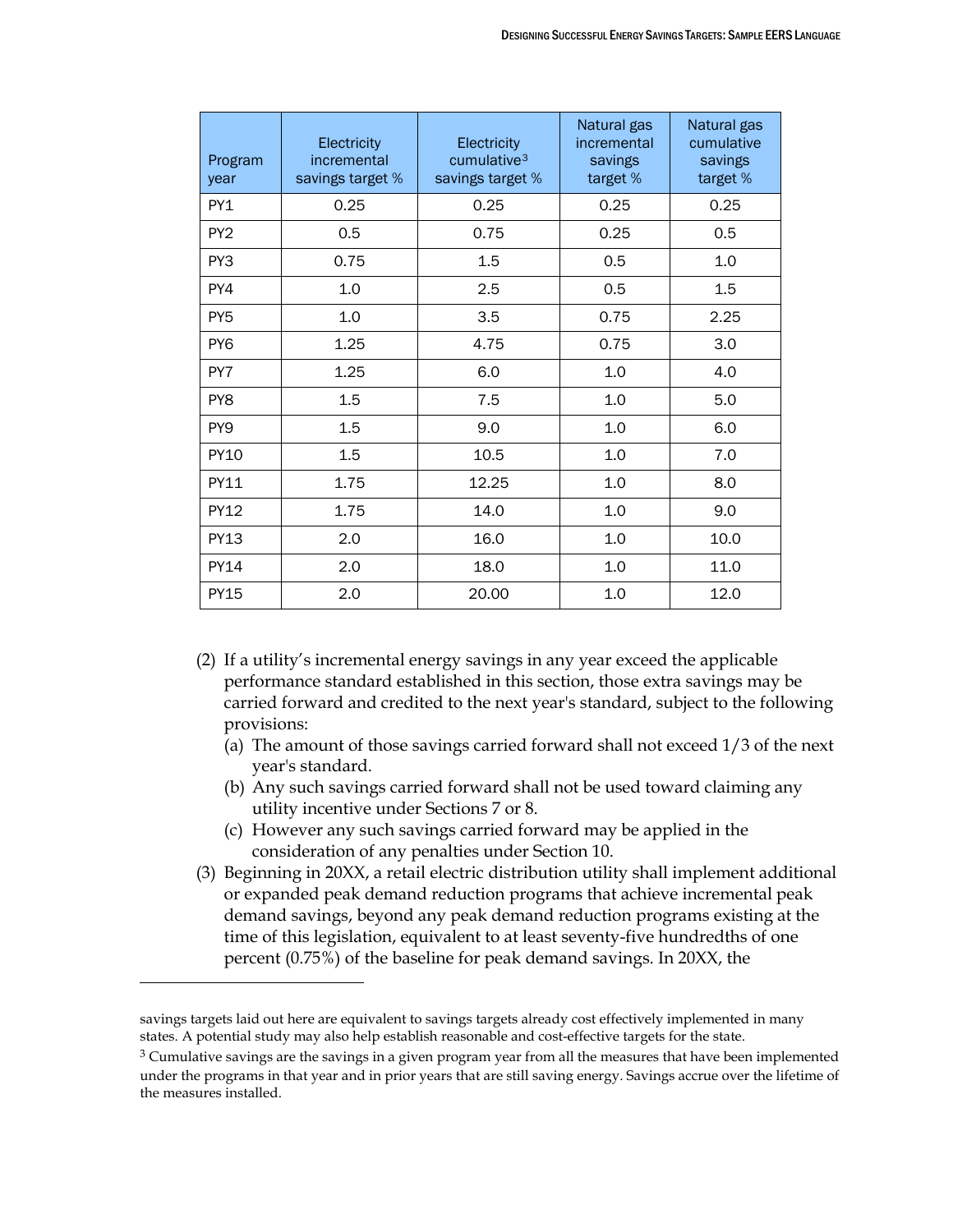| Program<br>year | Electricity<br>incremental<br>savings target % | <b>Electricity</b><br>cumulative <sup>3</sup><br>savings target % | Natural gas<br>incremental<br>savings<br>target % | Natural gas<br>cumulative<br>savings<br>target % |
|-----------------|------------------------------------------------|-------------------------------------------------------------------|---------------------------------------------------|--------------------------------------------------|
| PY1             | 0.25                                           | 0.25                                                              | 0.25                                              | 0.25                                             |
| PY <sub>2</sub> | 0.5                                            | 0.75                                                              | 0.25                                              | 0.5                                              |
| PY3             | 0.75                                           | 1.5                                                               | 0.5                                               | 1.0                                              |
| PY4             | 1.0                                            | 2.5                                                               | 0.5                                               | 1.5                                              |
| PY <sub>5</sub> | 1.0                                            | 3.5                                                               | 0.75                                              | 2.25                                             |
| PY6             | 1.25                                           | 4.75                                                              | 0.75                                              | 3.0                                              |
| PY7             | 1.25                                           | 6.0                                                               | 1.0                                               | 4.0                                              |
| PY8             | 1.5                                            | 7.5                                                               | 1.0                                               | 5.0                                              |
| PY9             | 1.5                                            | 9.0                                                               | 1.0                                               | 6.0                                              |
| <b>PY10</b>     | 1.5                                            | 10.5                                                              | 1.0                                               | 7.0                                              |
| PY11            | 1.75                                           | 12.25                                                             | 1.0                                               | 8.0                                              |
| <b>PY12</b>     | 1.75                                           | 14.0                                                              | 1.0                                               | 9.0                                              |
| <b>PY13</b>     | 2.0                                            | 16.0                                                              | 1.0                                               | 10.0                                             |
| PY14            | 2.0                                            | 18.0                                                              | 1.0                                               | 11.0                                             |
| <b>PY15</b>     | 2.0                                            | 20.00                                                             | 1.0                                               | 12.0                                             |

- (2) If a utility's incremental energy savings in any year exceed the applicable performance standard established in this section, those extra savings may be carried forward and credited to the next year's standard, subject to the following provisions:
	- (a) The amount of those savings carried forward shall not exceed 1/3 of the next year's standard.
	- (b) Any such savings carried forward shall not be used toward claiming any utility incentive under Sections 7 or 8.
	- (c) However any such savings carried forward may be applied in the consideration of any penalties under Section 10.
- (3) Beginning in 20XX, a retail electric distribution utility shall implement additional or expanded peak demand reduction programs that achieve incremental peak demand savings, beyond any peak demand reduction programs existing at the time of this legislation, equivalent to at least seventy-five hundredths of one percent (0.75%) of the baseline for peak demand savings. In 20XX, the

 $\overline{a}$ 

savings targets laid out here are equivalent to savings targets already cost effectively implemented in many states. A potential study may also help establish reasonable and cost-effective targets for the state.

<span id="page-2-0"></span> $3$  Cumulative savings are the savings in a given program year from all the measures that have been implemented under the programs in that year and in prior years that are still saving energy. Savings accrue over the lifetime of the measures installed.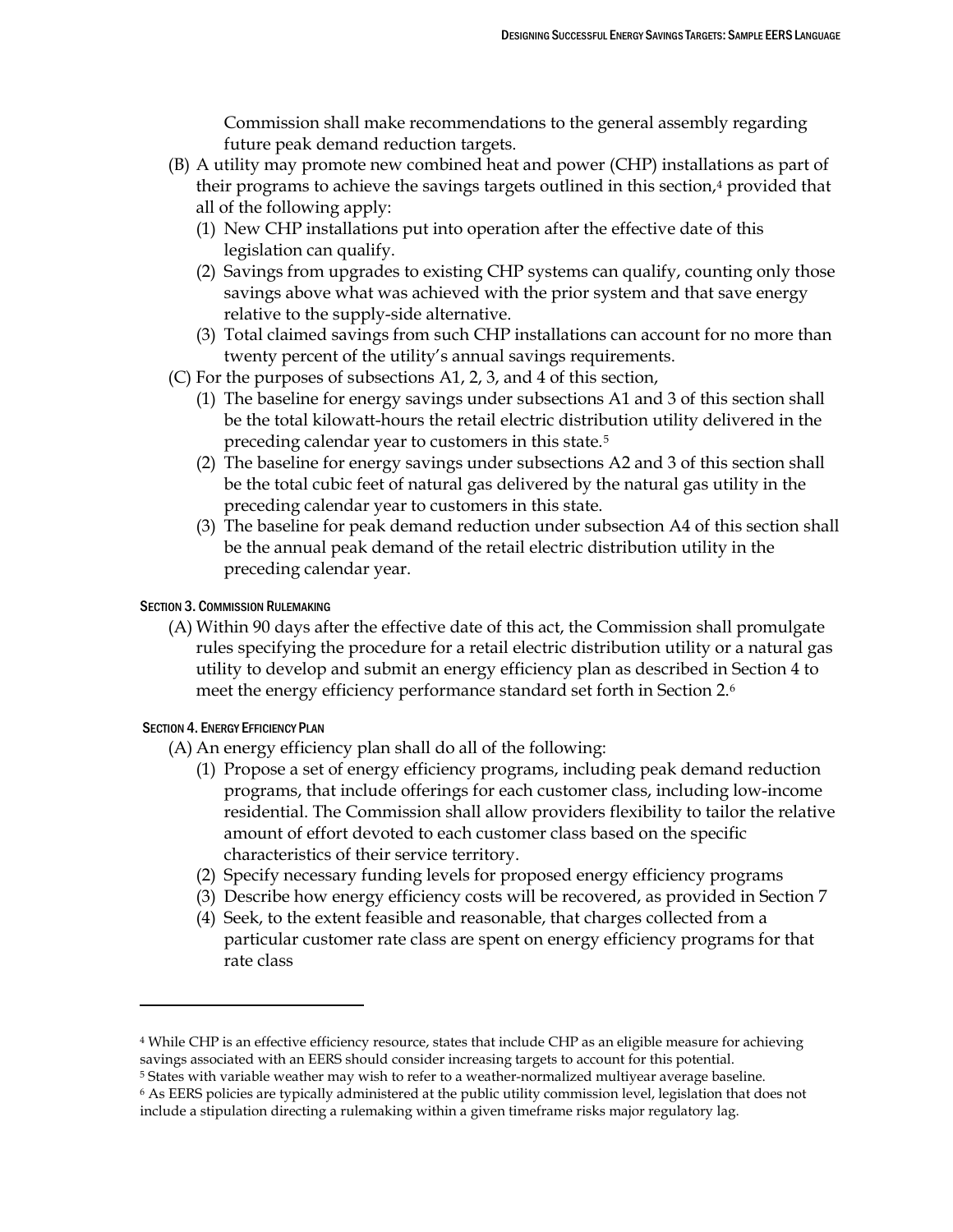Commission shall make recommendations to the general assembly regarding future peak demand reduction targets.

- (B) A utility may promote new combined heat and power (CHP) installations as part of their programs to achieve the savings targets outlined in this section,<sup>[4](#page-3-0)</sup> provided that all of the following apply:
	- (1) New CHP installations put into operation after the effective date of this legislation can qualify.
	- (2) Savings from upgrades to existing CHP systems can qualify, counting only those savings above what was achieved with the prior system and that save energy relative to the supply-side alternative.
	- (3) Total claimed savings from such CHP installations can account for no more than twenty percent of the utility's annual savings requirements.
- (C) For the purposes of subsections A1, 2, 3, and 4 of this section,
	- (1) The baseline for energy savings under subsections A1 and 3 of this section shall be the total kilowatt-hours the retail electric distribution utility delivered in the preceding calendar year to customers in this state.[5](#page-3-1)
	- (2) The baseline for energy savings under subsections A2 and 3 of this section shall be the total cubic feet of natural gas delivered by the natural gas utility in the preceding calendar year to customers in this state.
	- (3) The baseline for peak demand reduction under subsection A4 of this section shall be the annual peak demand of the retail electric distribution utility in the preceding calendar year.

#### SECTION 3. COMMISSION RULEMAKING

(A) Within 90 days after the effective date of this act, the Commission shall promulgate rules specifying the procedure for a retail electric distribution utility or a natural gas utility to develop and submit an energy efficiency plan as described in Section 4 to meet the energy efficiency performance standard set forth in Section 2.[6](#page-3-2)

#### SECTION 4. ENERGY EFFICIENCY PLAN

 $\overline{a}$ 

- (A) An energy efficiency plan shall do all of the following:
	- (1) Propose a set of energy efficiency programs, including peak demand reduction programs, that include offerings for each customer class, including low-income residential. The Commission shall allow providers flexibility to tailor the relative amount of effort devoted to each customer class based on the specific characteristics of their service territory.
	- (2) Specify necessary funding levels for proposed energy efficiency programs
	- (3) Describe how energy efficiency costs will be recovered, as provided in Section 7
	- (4) Seek, to the extent feasible and reasonable, that charges collected from a particular customer rate class are spent on energy efficiency programs for that rate class

<span id="page-3-0"></span><sup>4</sup> While CHP is an effective efficiency resource, states that include CHP as an eligible measure for achieving savings associated with an EERS should consider increasing targets to account for this potential.

<span id="page-3-1"></span><sup>&</sup>lt;sup>5</sup> States with variable weather may wish to refer to a weather-normalized multiyear average baseline.

<span id="page-3-2"></span><sup>6</sup> As EERS policies are typically administered at the public utility commission level, legislation that does not include a stipulation directing a rulemaking within a given timeframe risks major regulatory lag.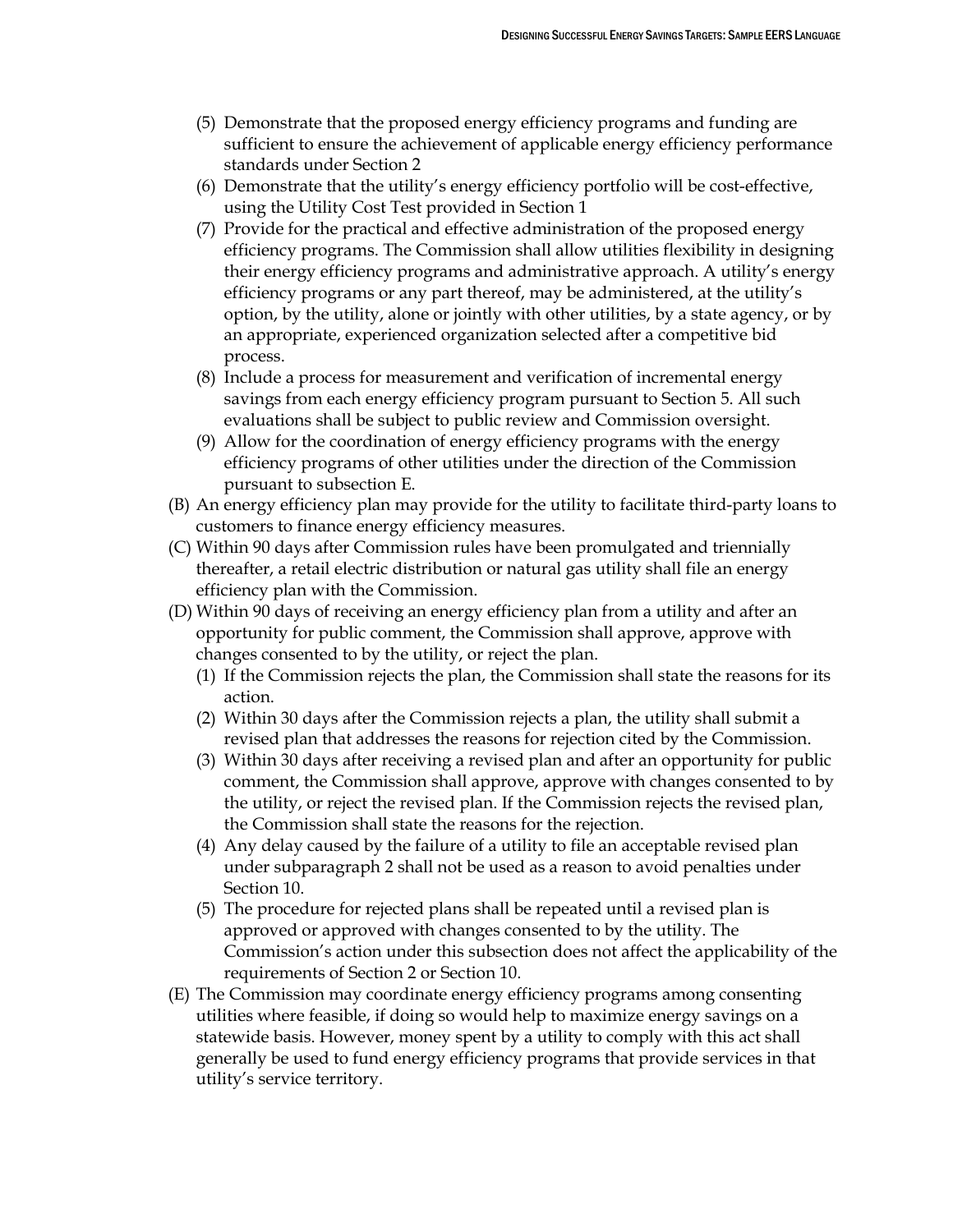- (5) Demonstrate that the proposed energy efficiency programs and funding are sufficient to ensure the achievement of applicable energy efficiency performance standards under Section 2
- (6) Demonstrate that the utility's energy efficiency portfolio will be cost-effective, using the Utility Cost Test provided in Section 1
- (7) Provide for the practical and effective administration of the proposed energy efficiency programs. The Commission shall allow utilities flexibility in designing their energy efficiency programs and administrative approach. A utility's energy efficiency programs or any part thereof, may be administered, at the utility's option, by the utility, alone or jointly with other utilities, by a state agency, or by an appropriate, experienced organization selected after a competitive bid process.
- (8) Include a process for measurement and verification of incremental energy savings from each energy efficiency program pursuant to Section 5. All such evaluations shall be subject to public review and Commission oversight.
- (9) Allow for the coordination of energy efficiency programs with the energy efficiency programs of other utilities under the direction of the Commission pursuant to subsection E.
- (B) An energy efficiency plan may provide for the utility to facilitate third-party loans to customers to finance energy efficiency measures.
- (C) Within 90 days after Commission rules have been promulgated and triennially thereafter, a retail electric distribution or natural gas utility shall file an energy efficiency plan with the Commission.
- (D) Within 90 days of receiving an energy efficiency plan from a utility and after an opportunity for public comment, the Commission shall approve, approve with changes consented to by the utility, or reject the plan.
	- (1) If the Commission rejects the plan, the Commission shall state the reasons for its action.
	- (2) Within 30 days after the Commission rejects a plan, the utility shall submit a revised plan that addresses the reasons for rejection cited by the Commission.
	- (3) Within 30 days after receiving a revised plan and after an opportunity for public comment, the Commission shall approve, approve with changes consented to by the utility, or reject the revised plan. If the Commission rejects the revised plan, the Commission shall state the reasons for the rejection.
	- (4) Any delay caused by the failure of a utility to file an acceptable revised plan under subparagraph 2 shall not be used as a reason to avoid penalties under Section 10.
	- (5) The procedure for rejected plans shall be repeated until a revised plan is approved or approved with changes consented to by the utility. The Commission's action under this subsection does not affect the applicability of the requirements of Section 2 or Section 10.
- (E) The Commission may coordinate energy efficiency programs among consenting utilities where feasible, if doing so would help to maximize energy savings on a statewide basis. However, money spent by a utility to comply with this act shall generally be used to fund energy efficiency programs that provide services in that utility's service territory.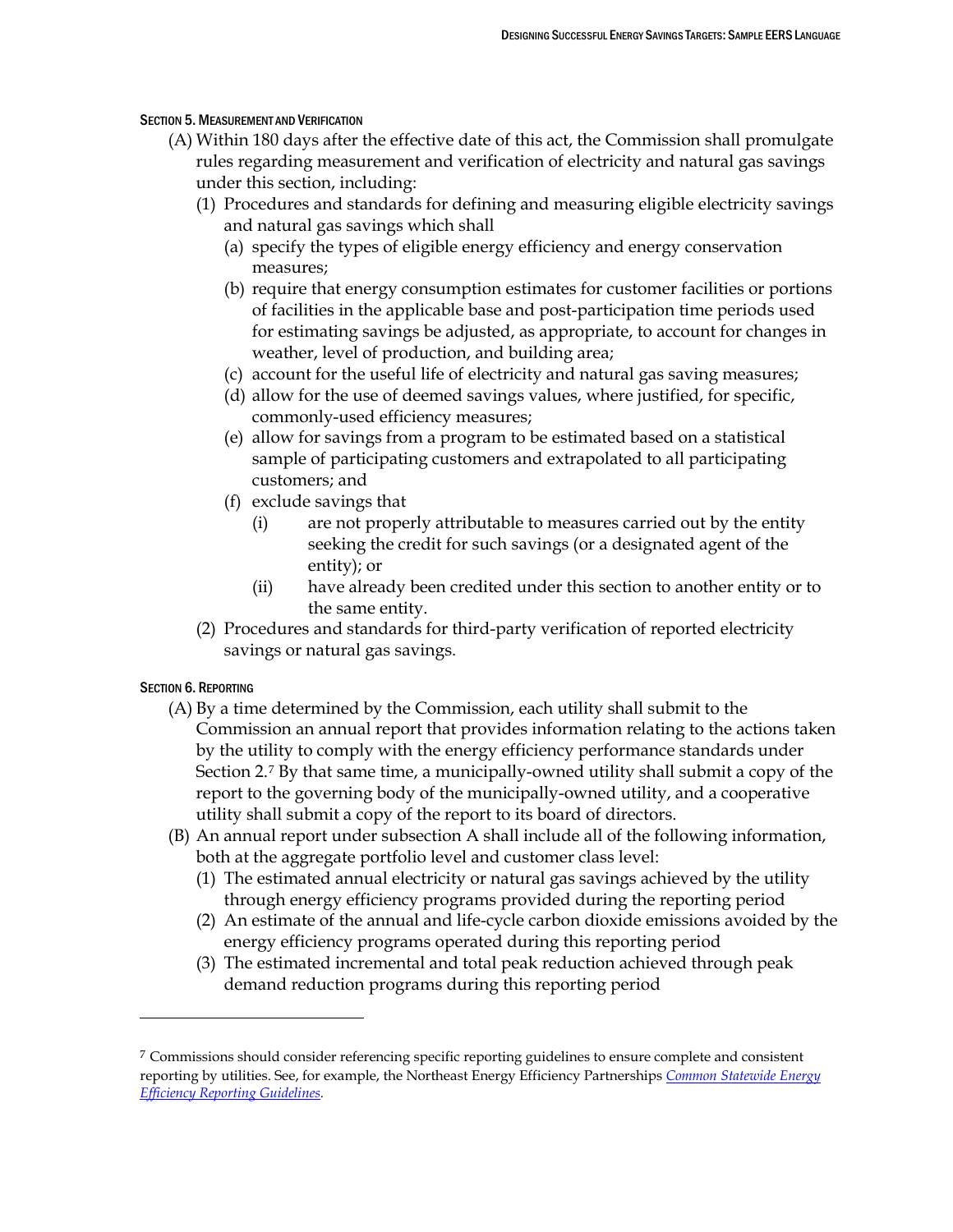#### SECTION 5. MEASUREMENT AND VERIFICATION

- (A) Within 180 days after the effective date of this act, the Commission shall promulgate rules regarding measurement and verification of electricity and natural gas savings under this section, including:
	- (1) Procedures and standards for defining and measuring eligible electricity savings and natural gas savings which shall
		- (a) specify the types of eligible energy efficiency and energy conservation measures;
		- (b) require that energy consumption estimates for customer facilities or portions of facilities in the applicable base and post-participation time periods used for estimating savings be adjusted, as appropriate, to account for changes in weather, level of production, and building area;
		- (c) account for the useful life of electricity and natural gas saving measures;
		- (d) allow for the use of deemed savings values, where justified, for specific, commonly-used efficiency measures;
		- (e) allow for savings from a program to be estimated based on a statistical sample of participating customers and extrapolated to all participating customers; and
		- (f) exclude savings that
			- (i) are not properly attributable to measures carried out by the entity seeking the credit for such savings (or a designated agent of the entity); or
			- (ii) have already been credited under this section to another entity or to the same entity.
	- (2) Procedures and standards for third-party verification of reported electricity savings or natural gas savings.

### SECTION 6. REPORTING

 $\overline{a}$ 

- (A) By a time determined by the Commission, each utility shall submit to the Commission an annual report that provides information relating to the actions taken by the utility to comply with the energy efficiency performance standards under Section 2.[7](#page-5-0) By that same time, a municipally-owned utility shall submit a copy of the report to the governing body of the municipally-owned utility, and a cooperative utility shall submit a copy of the report to its board of directors.
- (B) An annual report under subsection A shall include all of the following information, both at the aggregate portfolio level and customer class level:
	- (1) The estimated annual electricity or natural gas savings achieved by the utility through energy efficiency programs provided during the reporting period
	- (2) An estimate of the annual and life-cycle carbon dioxide emissions avoided by the energy efficiency programs operated during this reporting period
	- (3) The estimated incremental and total peak reduction achieved through peak demand reduction programs during this reporting period

<span id="page-5-0"></span><sup>&</sup>lt;sup>7</sup> Commissions should consider referencing specific reporting guidelines to ensure complete and consistent reporting by utilities. See, for example, the Northeast Energy Efficiency Partnerships *[Common Statewide Energy](https://www.neep.org/Assets/uploads/files/emv/emv-products/EMV%20Forum_Statewide_EE_Reporting_Guidelines_12-30-10.pdf)  [Efficiency Reporting Guidelines.](https://www.neep.org/Assets/uploads/files/emv/emv-products/EMV%20Forum_Statewide_EE_Reporting_Guidelines_12-30-10.pdf)*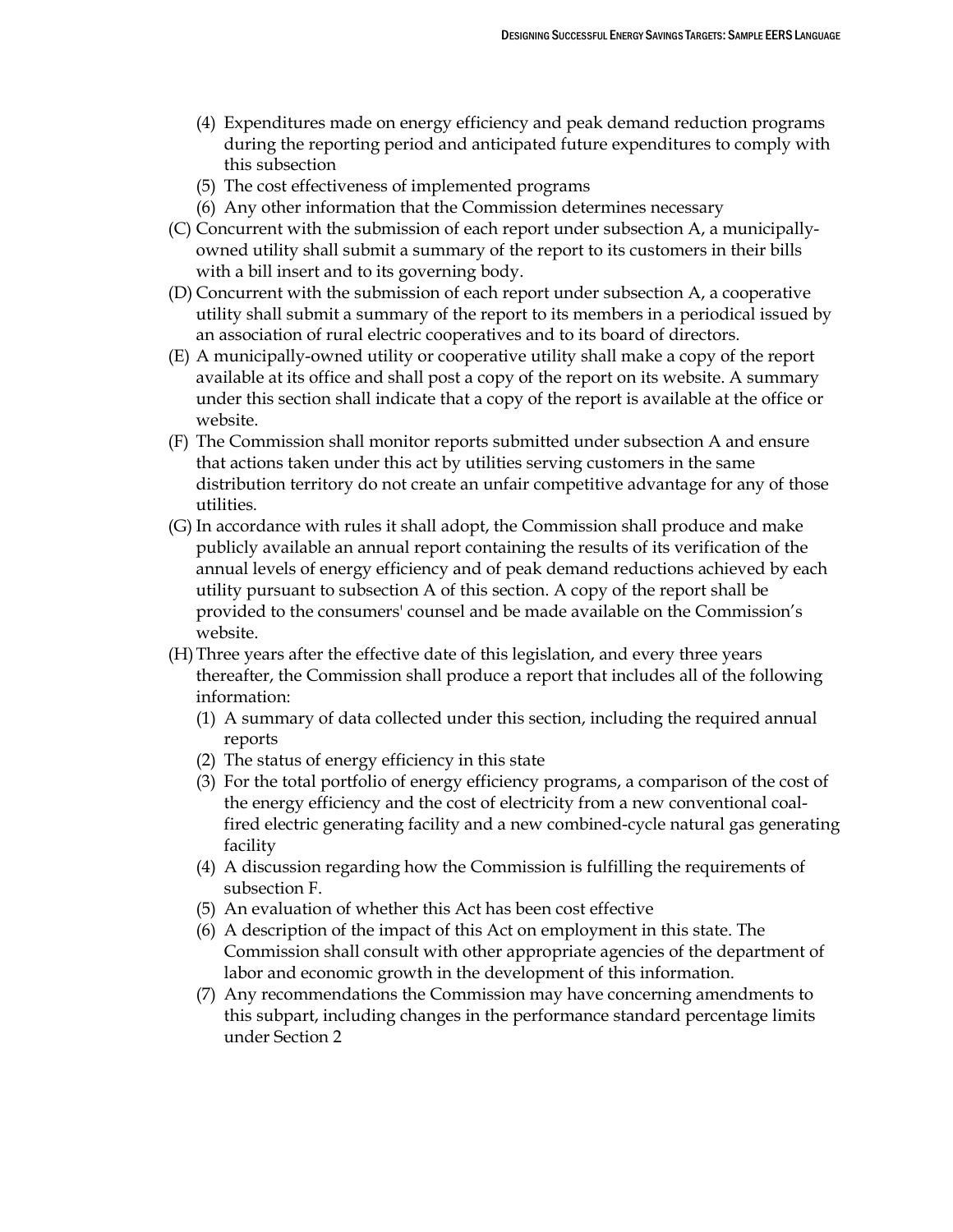- (4) Expenditures made on energy efficiency and peak demand reduction programs during the reporting period and anticipated future expenditures to comply with this subsection
- (5) The cost effectiveness of implemented programs
- (6) Any other information that the Commission determines necessary
- (C) Concurrent with the submission of each report under subsection A, a municipallyowned utility shall submit a summary of the report to its customers in their bills with a bill insert and to its governing body.
- (D) Concurrent with the submission of each report under subsection A, a cooperative utility shall submit a summary of the report to its members in a periodical issued by an association of rural electric cooperatives and to its board of directors.
- (E) A municipally-owned utility or cooperative utility shall make a copy of the report available at its office and shall post a copy of the report on its website. A summary under this section shall indicate that a copy of the report is available at the office or website.
- (F) The Commission shall monitor reports submitted under subsection A and ensure that actions taken under this act by utilities serving customers in the same distribution territory do not create an unfair competitive advantage for any of those utilities.
- (G) In accordance with rules it shall adopt, the Commission shall produce and make publicly available an annual report containing the results of its verification of the annual levels of energy efficiency and of peak demand reductions achieved by each utility pursuant to subsection A of this section. A copy of the report shall be provided to the consumers' counsel and be made available on the Commission's website.
- (H)Three years after the effective date of this legislation, and every three years thereafter, the Commission shall produce a report that includes all of the following information:
	- (1) A summary of data collected under this section, including the required annual reports
	- (2) The status of energy efficiency in this state
	- (3) For the total portfolio of energy efficiency programs, a comparison of the cost of the energy efficiency and the cost of electricity from a new conventional coalfired electric generating facility and a new combined-cycle natural gas generating facility
	- (4) A discussion regarding how the Commission is fulfilling the requirements of subsection F.
	- (5) An evaluation of whether this Act has been cost effective
	- (6) A description of the impact of this Act on employment in this state. The Commission shall consult with other appropriate agencies of the department of labor and economic growth in the development of this information.
	- (7) Any recommendations the Commission may have concerning amendments to this subpart, including changes in the performance standard percentage limits under Section 2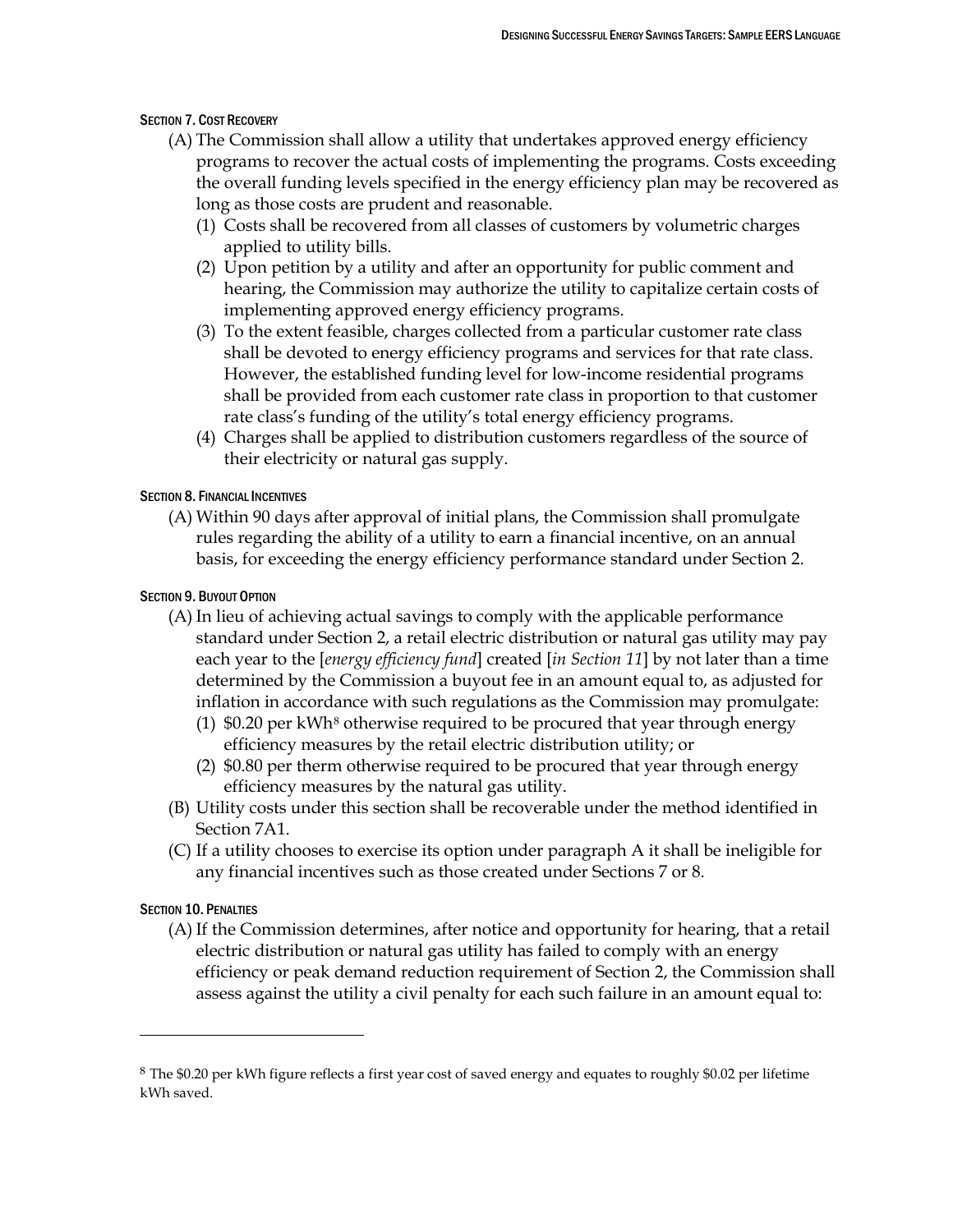#### SECTION 7. COST RECOVERY

- (A) The Commission shall allow a utility that undertakes approved energy efficiency programs to recover the actual costs of implementing the programs. Costs exceeding the overall funding levels specified in the energy efficiency plan may be recovered as long as those costs are prudent and reasonable.
	- (1) Costs shall be recovered from all classes of customers by volumetric charges applied to utility bills.
	- (2) Upon petition by a utility and after an opportunity for public comment and hearing, the Commission may authorize the utility to capitalize certain costs of implementing approved energy efficiency programs.
	- (3) To the extent feasible, charges collected from a particular customer rate class shall be devoted to energy efficiency programs and services for that rate class. However, the established funding level for low-income residential programs shall be provided from each customer rate class in proportion to that customer rate class's funding of the utility's total energy efficiency programs.
	- (4) Charges shall be applied to distribution customers regardless of the source of their electricity or natural gas supply.

#### SECTION 8. FINANCIAL INCENTIVES

(A) Within 90 days after approval of initial plans, the Commission shall promulgate rules regarding the ability of a utility to earn a financial incentive, on an annual basis, for exceeding the energy efficiency performance standard under Section 2.

#### SECTION 9. BUYOUT OPTION

- (A) In lieu of achieving actual savings to comply with the applicable performance standard under Section 2, a retail electric distribution or natural gas utility may pay each year to the [*energy efficiency fund*] created [*in Section 11*] by not later than a time determined by the Commission a buyout fee in an amount equal to, as adjusted for inflation in accordance with such regulations as the Commission may promulgate:
	- (1)  $$0.20$  per kWh<sup>[8](#page-7-0)</sup> otherwise required to be procured that year through energy efficiency measures by the retail electric distribution utility; or
	- (2) \$0.80 per therm otherwise required to be procured that year through energy efficiency measures by the natural gas utility.
- (B) Utility costs under this section shall be recoverable under the method identified in Section 7A1.
- (C) If a utility chooses to exercise its option under paragraph A it shall be ineligible for any financial incentives such as those created under Sections 7 or 8.

#### SECTION 10. PENALTIES

 $\overline{a}$ 

(A) If the Commission determines, after notice and opportunity for hearing, that a retail electric distribution or natural gas utility has failed to comply with an energy efficiency or peak demand reduction requirement of Section 2, the Commission shall assess against the utility a civil penalty for each such failure in an amount equal to:

<span id="page-7-0"></span><sup>&</sup>lt;sup>8</sup> The \$0.20 per kWh figure reflects a first year cost of saved energy and equates to roughly \$0.02 per lifetime kWh saved.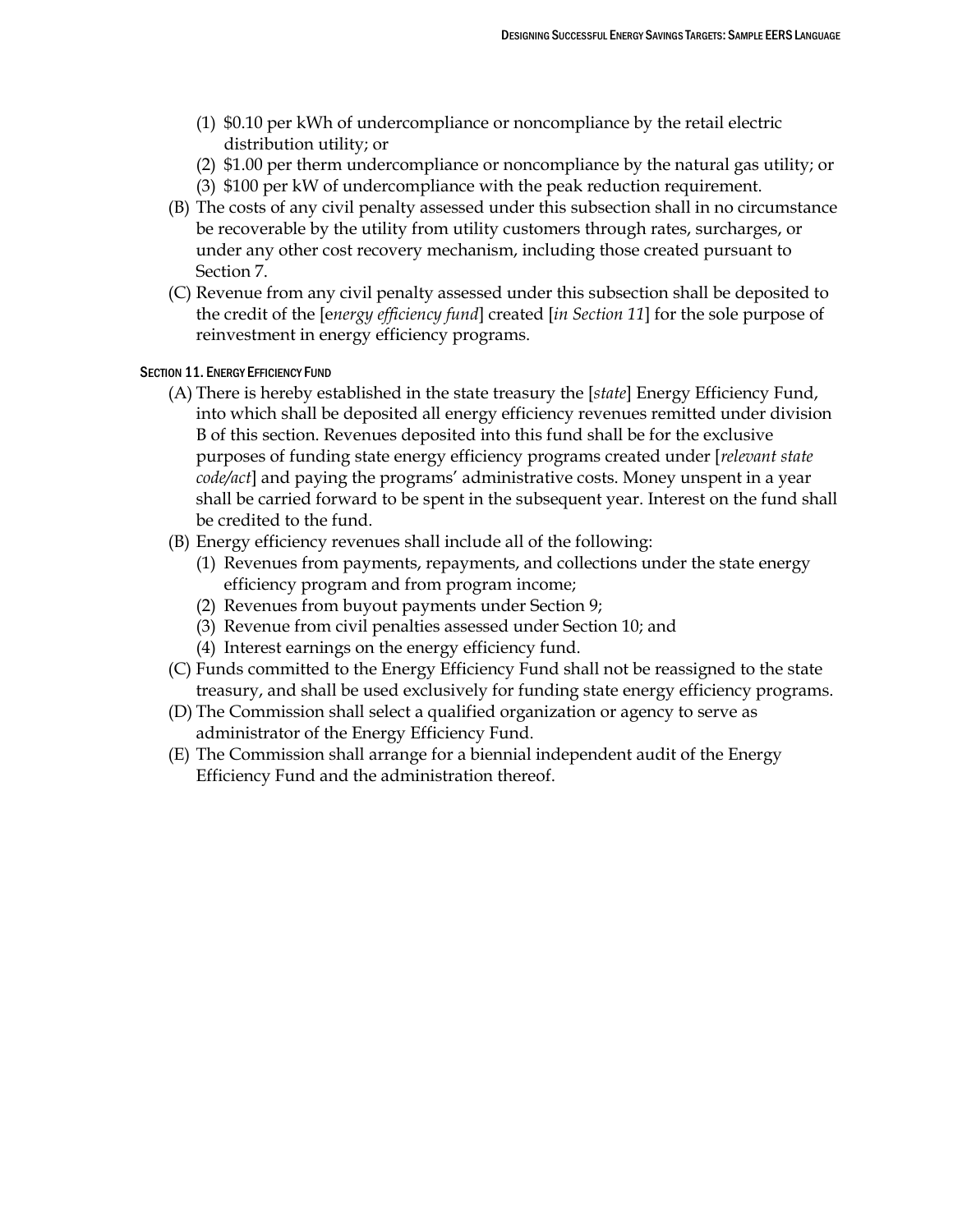- (1) \$0.10 per kWh of undercompliance or noncompliance by the retail electric distribution utility; or
- (2) \$1.00 per therm undercompliance or noncompliance by the natural gas utility; or
- (3) \$100 per kW of undercompliance with the peak reduction requirement.
- (B) The costs of any civil penalty assessed under this subsection shall in no circumstance be recoverable by the utility from utility customers through rates, surcharges, or under any other cost recovery mechanism, including those created pursuant to Section 7.
- (C) Revenue from any civil penalty assessed under this subsection shall be deposited to the credit of the [e*nergy efficiency fund*] created [*in Section 11*] for the sole purpose of reinvestment in energy efficiency programs.

#### SECTION 11. ENERGY EFFICIENCY FUND

- (A) There is hereby established in the state treasury the [*state*] Energy Efficiency Fund, into which shall be deposited all energy efficiency revenues remitted under division B of this section. Revenues deposited into this fund shall be for the exclusive purposes of funding state energy efficiency programs created under [*relevant state code/act*] and paying the programs' administrative costs. Money unspent in a year shall be carried forward to be spent in the subsequent year. Interest on the fund shall be credited to the fund.
- (B) Energy efficiency revenues shall include all of the following:
	- (1) Revenues from payments, repayments, and collections under the state energy efficiency program and from program income;
	- (2) Revenues from buyout payments under Section 9;
	- (3) Revenue from civil penalties assessed under Section 10; and
	- (4) Interest earnings on the energy efficiency fund.
- (C) Funds committed to the Energy Efficiency Fund shall not be reassigned to the state treasury, and shall be used exclusively for funding state energy efficiency programs.
- (D) The Commission shall select a qualified organization or agency to serve as administrator of the Energy Efficiency Fund.
- (E) The Commission shall arrange for a biennial independent audit of the Energy Efficiency Fund and the administration thereof.